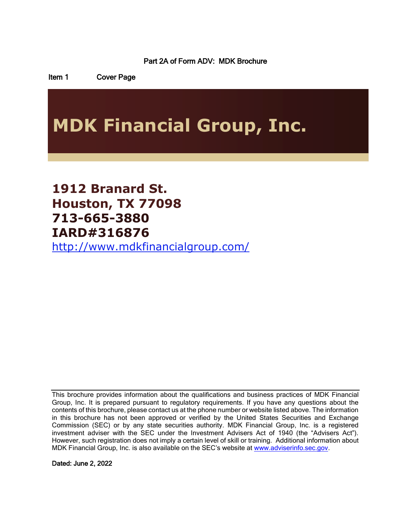<span id="page-0-1"></span><span id="page-0-0"></span>Part 2A of Form ADV: MDK Brochure

Item 1 Cover Page

# **MDK Financial Group, Inc.**

**1912 Branard St. Houston, TX 77098 713-665-3880 IARD#316876** <http://www.mdkfinancialgroup.com/>

This brochure provides information about the qualifications and business practices of MDK Financial Group, Inc. It is prepared pursuant to regulatory requirements. If you have any questions about the contents of this brochure, please contact us at the phone number or website listed above. The information in this brochure has not been approved or verified by the United States Securities and Exchange Commission (SEC) or by any state securities authority. MDK Financial Group, Inc. is a registered investment adviser with the SEC under the Investment Advisers Act of 1940 (the "Advisers Act"). However, such registration does not imply a certain level of skill or training. Additional information about MDK Financial Group, Inc. is also available on the SEC's website at [www.adviserinfo.sec.gov.](http://www.adviserinfo.sec.gov/)

Dated: June 2, 2022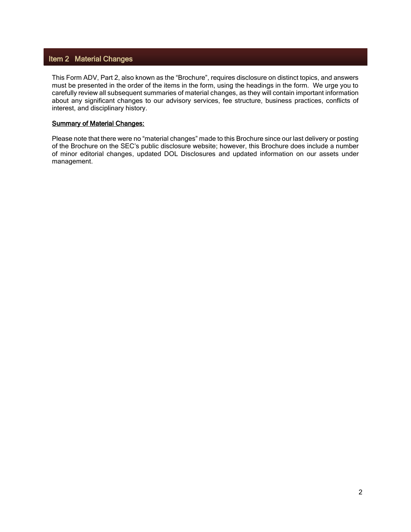# <span id="page-1-0"></span>Item 2 Material Changes

This Form ADV, Part 2, also known as the "Brochure", requires disclosure on distinct topics, and answers must be presented in the order of the items in the form, using the headings in the form. We urge you to carefully review all subsequent summaries of material changes, as they will contain important information about any significant changes to our advisory services, fee structure, business practices, conflicts of interest, and disciplinary history.

## **Summary of Material Changes:**

Please note that there were no "material changes" made to this Brochure since our last delivery or posting of the Brochure on the SEC's public disclosure website; however, this Brochure does include a number of minor editorial changes, updated DOL Disclosures and updated information on our assets under management.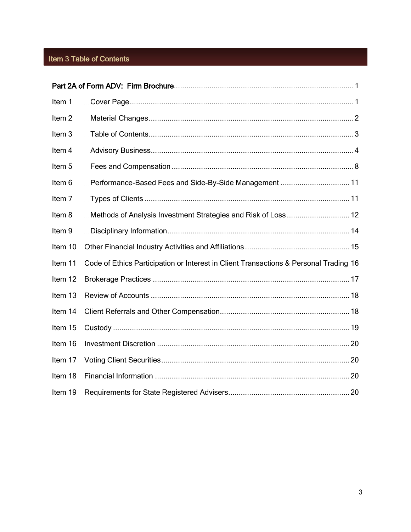# <span id="page-2-0"></span>Item 3 Table of Contents

| Item 1            |                                                                                       |  |
|-------------------|---------------------------------------------------------------------------------------|--|
| Item <sub>2</sub> |                                                                                       |  |
| Item <sub>3</sub> |                                                                                       |  |
| Item 4            |                                                                                       |  |
| Item 5            |                                                                                       |  |
| Item 6            | Performance-Based Fees and Side-By-Side Management  11                                |  |
| Item <sub>7</sub> |                                                                                       |  |
| Item 8            | Methods of Analysis Investment Strategies and Risk of Loss  12                        |  |
| Item 9            |                                                                                       |  |
| Item 10           |                                                                                       |  |
| Item 11           | Code of Ethics Participation or Interest in Client Transactions & Personal Trading 16 |  |
| Item 12           |                                                                                       |  |
| Item 13           |                                                                                       |  |
| Item 14           |                                                                                       |  |
| Item 15           |                                                                                       |  |
| Item 16           |                                                                                       |  |
| Item 17           |                                                                                       |  |
| Item 18           |                                                                                       |  |
| Item 19           |                                                                                       |  |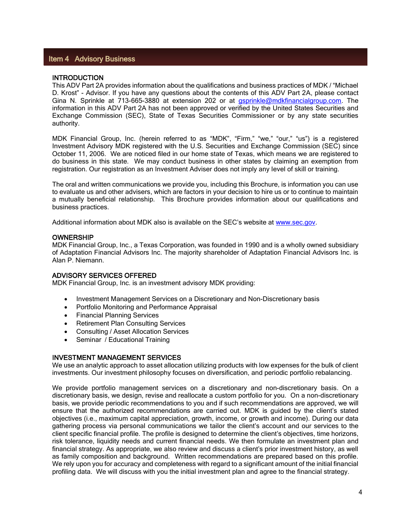## <span id="page-3-0"></span>Item 4 Advisory Business

## **INTRODUCTION**

This ADV Part 2A provides information about the qualifications and business practices of MDK / "Michael D. Krost" - Advisor. If you have any questions about the contents of this ADV Part 2A, please contact Gina N. Sprinkle at 713-665-3880 at extension 202 or at *gsprinkle@mdkfinancialgroup.com*. The information in this ADV Part 2A has not been approved or verified by the United States Securities and Exchange Commission (SEC), State of Texas Securities Commissioner or by any state securities authority.

MDK Financial Group, Inc. (herein referred to as "MDK", "Firm," "we," "our," "us") is a registered Investment Advisory MDK registered with the U.S. Securities and Exchange Commission (SEC) since October 11, 2006. We are noticed filed in our home state of Texas, which means we are registered to do business in this state. We may conduct business in other states by claiming an exemption from registration. Our registration as an Investment Adviser does not imply any level of skill or training.

The oral and written communications we provide you, including this Brochure, is information you can use to evaluate us and other advisers, which are factors in your decision to hire us or to continue to maintain a mutually beneficial relationship. This Brochure provides information about our qualifications and business practices.

Additional information about MDK also is available on the SEC's website at [www.sec.gov.](http://www.sec.gov/)

#### **OWNERSHIP**

MDK Financial Group, Inc., a Texas Corporation, was founded in 1990 and is a wholly owned subsidiary of Adaptation Financial Advisors Inc. The majority shareholder of Adaptation Financial Advisors Inc. is Alan P. Niemann.

#### ADVISORY SERVICES OFFERED

MDK Financial Group, Inc. is an investment advisory MDK providing:

- Investment Management Services on a Discretionary and Non-Discretionary basis
- Portfolio Monitoring and Performance Appraisal
- Financial Planning Services
- Retirement Plan Consulting Services
- Consulting / Asset Allocation Services
- Seminar / Educational Training

## INVESTMENT MANAGEMENT SERVICES

We use an analytic approach to asset allocation utilizing products with low expenses for the bulk of client investments. Our investment philosophy focuses on diversification, and periodic portfolio rebalancing.

We provide portfolio management services on a discretionary and non-discretionary basis. On a discretionary basis, we design, revise and reallocate a custom portfolio for you. On a non-discretionary basis, we provide periodic recommendations to you and if such recommendations are approved, we will ensure that the authorized recommendations are carried out. MDK is guided by the client's stated objectives (i.e., maximum capital appreciation, growth, income, or growth and income). During our data gathering process via personal communications we tailor the client's account and our services to the client specific financial profile. The profile is designed to determine the client's objectives, time horizons, risk tolerance, liquidity needs and current financial needs. We then formulate an investment plan and financial strategy. As appropriate, we also review and discuss a client's prior investment history, as well as family composition and background. Written recommendations are prepared based on this profile. We rely upon you for accuracy and completeness with regard to a significant amount of the initial financial profiling data. We will discuss with you the initial investment plan and agree to the financial strategy.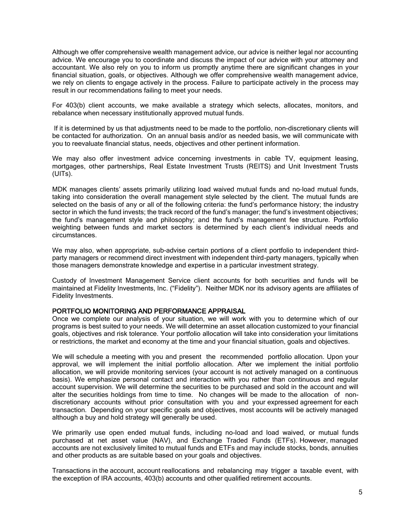Although we offer comprehensive wealth management advice, our advice is neither legal nor accounting advice. We encourage you to coordinate and discuss the impact of our advice with your attorney and accountant. We also rely on you to inform us promptly anytime there are significant changes in your financial situation, goals, or objectives. Although we offer comprehensive wealth management advice, we rely on clients to engage actively in the process. Failure to participate actively in the process may result in our recommendations failing to meet your needs.

For 403(b) client accounts, we make available a strategy which selects, allocates, monitors, and rebalance when necessary institutionally approved mutual funds.

If it is determined by us that adjustments need to be made to the portfolio, non-discretionary clients will be contacted for authorization. On an annual basis and/or as needed basis, we will communicate with you to reevaluate financial status, needs, objectives and other pertinent information.

We may also offer investment advice concerning investments in cable TV, equipment leasing, mortgages, other partnerships, Real Estate Investment Trusts (REITS) and Unit Investment Trusts (UITs).

MDK manages clients' assets primarily utilizing load waived mutual funds and no‐load mutual funds, taking into consideration the overall management style selected by the client. The mutual funds are selected on the basis of any or all of the following criteria: the fund's performance history; the industry sector in which the fund invests; the track record of the fund's manager; the fund's investment objectives; the fund's management style and philosophy; and the fund's management fee structure. Portfolio weighting between funds and market sectors is determined by each client's individual needs and circumstances.

We may also, when appropriate, sub-advise certain portions of a client portfolio to independent thirdparty managers or recommend direct investment with independent third-party managers, typically when those managers demonstrate knowledge and expertise in a particular investment strategy.

Custody of Investment Management Service client accounts for both securities and funds will be maintained at Fidelity Investments, Inc. ("Fidelity"). Neither MDK nor its advisory agents are affiliates of Fidelity Investments.

## PORTFOLIO MONITORING AND PERFORMANCE APPRAISAL

Once we complete our analysis of your situation, we will work with you to determine which of our programs is best suited to your needs. We will determine an asset allocation customized to your financial goals, objectives and risk tolerance. Your portfolio allocation will take into consideration your limitations or restrictions, the market and economy at the time and your financial situation, goals and objectives.

We will schedule a meeting with you and present the recommended portfolio allocation. Upon your approval, we will implement the initial portfolio allocation. After we implement the initial portfolio allocation, we will provide monitoring services (your account is not actively managed on a continuous basis). We emphasize personal contact and interaction with you rather than continuous and regular account supervision. We will determine the securities to be purchased and sold in the account and will alter the securities holdings from time to time. No changes will be made to the allocation of nondiscretionary accounts without prior consultation with you and your expressed agreement for each transaction. Depending on your specific goals and objectives, most accounts will be actively managed although a buy and hold strategy will generally be used.

We primarily use open ended mutual funds, including no-load and load waived, or mutual funds purchased at net asset value (NAV), and Exchange Traded Funds (ETFs). However, managed accounts are not exclusively limited to mutual funds and ETFs and may include stocks, bonds, annuities and other products as are suitable based on your goals and objectives.

Transactions in the account, account reallocations and rebalancing may trigger a taxable event, with the exception of IRA accounts, 403(b) accounts and other qualified retirement accounts.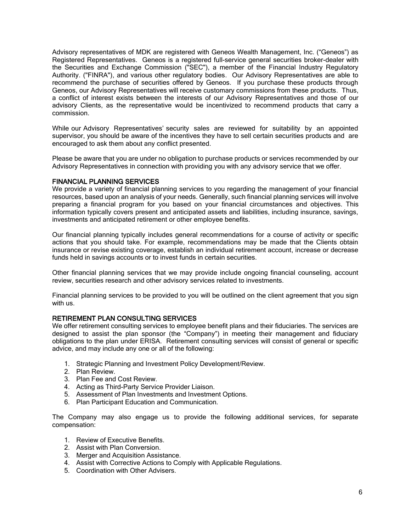Advisory representatives of MDK are registered with Geneos Wealth Management, Inc. ("Geneos") as Registered Representatives. Geneos is a registered full-service general securities broker-dealer with the Securities and Exchange Commission ("SEC"), a member of the Financial Industry Regulatory Authority. ("FINRA"), and various other regulatory bodies. Our Advisory Representatives are able to recommend the purchase of securities offered by Geneos. If you purchase these products through Geneos, our Advisory Representatives will receive customary commissions from these products. Thus, a conflict of interest exists between the interests of our Advisory Representatives and those of our advisory Clients, as the representative would be incentivized to recommend products that carry a commission.

While our Advisory Representatives' security sales are reviewed for suitability by an appointed supervisor, you should be aware of the incentives they have to sell certain securities products and are encouraged to ask them about any conflict presented.

Please be aware that you are under no obligation to purchase products or services recommended by our Advisory Representatives in connection with providing you with any advisory service that we offer.

## FINANCIAL PLANNING SERVICES

We provide a variety of financial planning services to you regarding the management of your financial resources, based upon an analysis of your needs. Generally, such financial planning services will involve preparing a financial program for you based on your financial circumstances and objectives. This information typically covers present and anticipated assets and liabilities, including insurance, savings, investments and anticipated retirement or other employee benefits.

Our financial planning typically includes general recommendations for a course of activity or specific actions that you should take. For example, recommendations may be made that the Clients obtain insurance or revise existing coverage, establish an individual retirement account, increase or decrease funds held in savings accounts or to invest funds in certain securities.

Other financial planning services that we may provide include ongoing financial counseling, account review, securities research and other advisory services related to investments.

Financial planning services to be provided to you will be outlined on the client agreement that you sign with us.

## RETIREMENT PLAN CONSULTING SERVICES

We offer retirement consulting services to employee benefit plans and their fiduciaries. The services are designed to assist the plan sponsor (the "Company") in meeting their management and fiduciary obligations to the plan under ERISA. Retirement consulting services will consist of general or specific advice, and may include any one or all of the following:

- 1. Strategic Planning and Investment Policy Development/Review.
- 2. Plan Review.
- 3. Plan Fee and Cost Review.
- 4. Acting as Third-Party Service Provider Liaison.
- 5. Assessment of Plan Investments and Investment Options.
- 6. Plan Participant Education and Communication.

The Company may also engage us to provide the following additional services, for separate compensation:

- 1. Review of Executive Benefits.
- 2. Assist with Plan Conversion.
- 3. Merger and Acquisition Assistance.
- 4. Assist with Corrective Actions to Comply with Applicable Regulations.
- 5. Coordination with Other Advisers.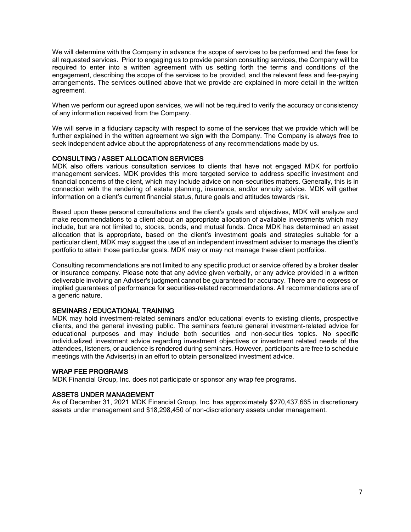We will determine with the Company in advance the scope of services to be performed and the fees for all requested services. Prior to engaging us to provide pension consulting services, the Company will be required to enter into a written agreement with us setting forth the terms and conditions of the engagement, describing the scope of the services to be provided, and the relevant fees and fee-paying arrangements. The services outlined above that we provide are explained in more detail in the written agreement.

When we perform our agreed upon services, we will not be required to verify the accuracy or consistency of any information received from the Company.

We will serve in a fiduciary capacity with respect to some of the services that we provide which will be further explained in the written agreement we sign with the Company. The Company is always free to seek independent advice about the appropriateness of any recommendations made by us.

## CONSULTING / ASSET ALLOCATION SERVICES

MDK also offers various consultation services to clients that have not engaged MDK for portfolio management services. MDK provides this more targeted service to address specific investment and financial concerns of the client, which may include advice on non-securities matters. Generally, this is in connection with the rendering of estate planning, insurance, and/or annuity advice. MDK will gather information on a client's current financial status, future goals and attitudes towards risk.

Based upon these personal consultations and the client's goals and objectives, MDK will analyze and make recommendations to a client about an appropriate allocation of available investments which may include, but are not limited to, stocks, bonds, and mutual funds. Once MDK has determined an asset allocation that is appropriate, based on the client's investment goals and strategies suitable for a particular client, MDK may suggest the use of an independent investment adviser to manage the client's portfolio to attain those particular goals. MDK may or may not manage these client portfolios.

Consulting recommendations are not limited to any specific product or service offered by a broker dealer or insurance company. Please note that any advice given verbally, or any advice provided in a written deliverable involving an Adviser's judgment cannot be guaranteed for accuracy. There are no express or implied guarantees of performance for securities-related recommendations. All recommendations are of a generic nature.

# SEMINARS / EDUCATIONAL TRAINING

MDK may hold investment-related seminars and/or educational events to existing clients, prospective clients, and the general investing public. The seminars feature general investment-related advice for educational purposes and may include both securities and non-securities topics. No specific individualized investment advice regarding investment objectives or investment related needs of the attendees, listeners, or audience is rendered during seminars. However, participants are free to schedule meetings with the Adviser(s) in an effort to obtain personalized investment advice.

## WRAP FEE PROGRAMS

MDK Financial Group, Inc. does not participate or sponsor any wrap fee programs.

## ASSETS UNDER MANAGEMENT

As of December 31, 2021 MDK Financial Group, Inc. has approximately \$270,437,665 in discretionary assets under management and \$18,298,450 of non-discretionary assets under management.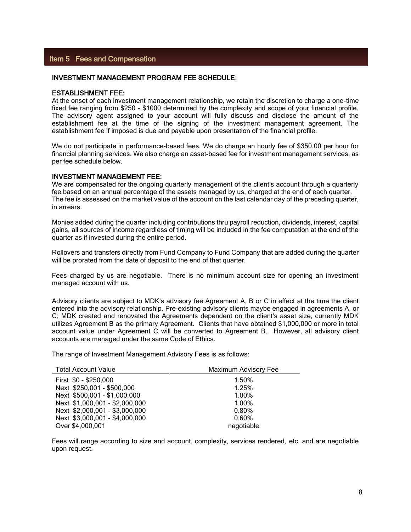# <span id="page-7-0"></span>Item 5 Fees and Compensation

## INVESTMENT MANAGEMENT PROGRAM FEE SCHEDULE:

## ESTABLISHMENT FEE:

At the onset of each investment management relationship, we retain the discretion to charge a one-time fixed fee ranging from \$250 - \$1000 determined by the complexity and scope of your financial profile. The advisory agent assigned to your account will fully discuss and disclose the amount of the establishment fee at the time of the signing of the investment management agreement. The establishment fee if imposed is due and payable upon presentation of the financial profile.

We do not participate in performance-based fees. We do charge an hourly fee of \$350.00 per hour for financial planning services. We also charge an asset-based fee for investment management services, as per fee schedule below.

#### INVESTMENT MANAGEMENT FEE:

We are compensated for the ongoing quarterly management of the client's account through a quarterly fee based on an annual percentage of the assets managed by us, charged at the end of each quarter. The fee is assessed on the market value of the account on the last calendar day of the preceding quarter, in arrears.

Monies added during the quarter including contributions thru payroll reduction, dividends, interest, capital gains, all sources of income regardless of timing will be included in the fee computation at the end of the quarter as if invested during the entire period.

Rollovers and transfers directly from Fund Company to Fund Company that are added during the quarter will be prorated from the date of deposit to the end of that quarter.

Fees charged by us are negotiable. There is no minimum account size for opening an investment managed account with us.

Advisory clients are subject to MDK's advisory fee Agreement A, B or C in effect at the time the client entered into the advisory relationship. Pre-existing advisory clients maybe engaged in agreements A, or C; MDK created and renovated the Agreements dependent on the client's asset size, currently MDK utilizes Agreement B as the primary Agreement. Clients that have obtained \$1,000,000 or more in total account value under Agreement C will be converted to Agreement B. However, all advisory client accounts are managed under the same Code of Ethics.

The range of Investment Management Advisory Fees is as follows:

| <b>Total Account Value</b>     | <b>Maximum Advisory Fee</b> |  |
|--------------------------------|-----------------------------|--|
| First \$0 - \$250,000          | 1.50%                       |  |
| Next \$250,001 - \$500,000     | 1.25%                       |  |
| Next \$500,001 - \$1,000,000   | 1.00%                       |  |
| Next \$1,000,001 - \$2,000,000 | 1.00%                       |  |
| Next \$2,000,001 - \$3,000,000 | 0.80%                       |  |
| Next \$3,000,001 - \$4,000,000 | 0.60%                       |  |
| Over \$4,000,001               | negotiable                  |  |

Fees will range according to size and account, complexity, services rendered, etc. and are negotiable upon request.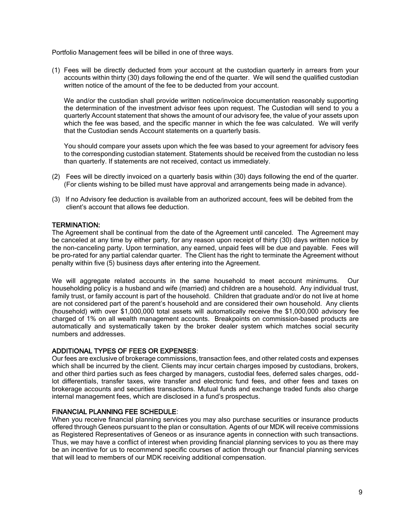Portfolio Management fees will be billed in one of three ways.

(1) Fees will be directly deducted from your account at the custodian quarterly in arrears from your accounts within thirty (30) days following the end of the quarter. We will send the qualified custodian written notice of the amount of the fee to be deducted from your account.

We and/or the custodian shall provide written notice/invoice documentation reasonably supporting the determination of the investment advisor fees upon request. The Custodian will send to you a quarterly Account statement that shows the amount of our advisory fee, the value of your assets upon which the fee was based, and the specific manner in which the fee was calculated. We will verify that the Custodian sends Account statements on a quarterly basis.

You should compare your assets upon which the fee was based to your agreement for advisory fees to the corresponding custodian statement. Statements should be received from the custodian no less than quarterly. If statements are not received, contact us immediately.

- (2) Fees will be directly invoiced on a quarterly basis within (30) days following the end of the quarter. (For clients wishing to be billed must have approval and arrangements being made in advance).
- (3) If no Advisory fee deduction is available from an authorized account, fees will be debited from the client's account that allows fee deduction.

## TERMINATION:

The Agreement shall be continual from the date of the Agreement until canceled. The Agreement may be canceled at any time by either party, for any reason upon receipt of thirty (30) days written notice by the non-canceling party. Upon termination, any earned, unpaid fees will be due and payable. Fees will be pro-rated for any partial calendar quarter. The Client has the right to terminate the Agreement without penalty within five (5) business days after entering into the Agreement.

We will aggregate related accounts in the same household to meet account minimums. Our householding policy is a husband and wife (married) and children are a household. Any individual trust, family trust, or family account is part of the household. Children that graduate and/or do not live at home are not considered part of the parent's household and are considered their own household. Any clients (household) with over \$1,000,000 total assets will automatically receive the \$1,000,000 advisory fee charged of 1% on all wealth management accounts. Breakpoints on commission-based products are automatically and systematically taken by the broker dealer system which matches social security numbers and addresses.

# ADDITIONAL TYPES OF FEES OR EXPENSES:

Our fees are exclusive of brokerage commissions, transaction fees, and other related costs and expenses which shall be incurred by the client. Clients may incur certain charges imposed by custodians, brokers, and other third parties such as fees charged by managers, custodial fees, deferred sales charges, oddlot differentials, transfer taxes, wire transfer and electronic fund fees, and other fees and taxes on brokerage accounts and securities transactions. Mutual funds and exchange traded funds also charge internal management fees, which are disclosed in a fund's prospectus.

## FINANCIAL PLANNING FEE SCHEDULE:

When you receive financial planning services you may also purchase securities or insurance products offered through Geneos pursuant to the plan or consultation. Agents of our MDK will receive commissions as Registered Representatives of Geneos or as insurance agents in connection with such transactions. Thus, we may have a conflict of interest when providing financial planning services to you as there may be an incentive for us to recommend specific courses of action through our financial planning services that will lead to members of our MDK receiving additional compensation.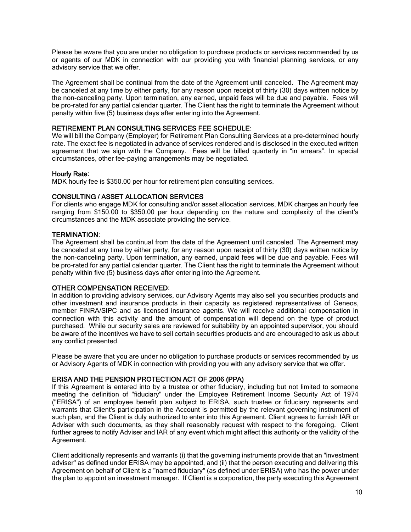Please be aware that you are under no obligation to purchase products or services recommended by us or agents of our MDK in connection with our providing you with financial planning services, or any advisory service that we offer.

The Agreement shall be continual from the date of the Agreement until canceled. The Agreement may be canceled at any time by either party, for any reason upon receipt of thirty (30) days written notice by the non-canceling party. Upon termination, any earned, unpaid fees will be due and payable. Fees will be pro-rated for any partial calendar quarter. The Client has the right to terminate the Agreement without penalty within five (5) business days after entering into the Agreement.

## RETIREMENT PLAN CONSULTING SERVICES FEE SCHEDULE:

We will bill the Company (Employer) for Retirement Plan Consulting Services at a pre-determined hourly rate. The exact fee is negotiated in advance of services rendered and is disclosed in the executed written agreement that we sign with the Company. Fees will be billed quarterly in "in arrears". In special circumstances, other fee-paying arrangements may be negotiated.

## Hourly Rate:

MDK hourly fee is \$350.00 per hour for retirement plan consulting services.

## CONSULTING / ASSET ALLOCATION SERVICES

For clients who engage MDK for consulting and/or asset allocation services, MDK charges an hourly fee ranging from \$150.00 to \$350.00 per hour depending on the nature and complexity of the client's circumstances and the MDK associate providing the service.

## TERMINATION:

The Agreement shall be continual from the date of the Agreement until canceled. The Agreement may be canceled at any time by either party, for any reason upon receipt of thirty (30) days written notice by the non-canceling party. Upon termination, any earned, unpaid fees will be due and payable. Fees will be pro-rated for any partial calendar quarter. The Client has the right to terminate the Agreement without penalty within five (5) business days after entering into the Agreement.

## OTHER COMPENSATION RECEIVED:

In addition to providing advisory services, our Advisory Agents may also sell you securities products and other investment and insurance products in their capacity as registered representatives of Geneos, member FINRA/SIPC and as licensed insurance agents. We will receive additional compensation in connection with this activity and the amount of compensation will depend on the type of product purchased. While our security sales are reviewed for suitability by an appointed supervisor, you should be aware of the incentives we have to sell certain securities products and are encouraged to ask us about any conflict presented.

Please be aware that you are under no obligation to purchase products or services recommended by us or Advisory Agents of MDK in connection with providing you with any advisory service that we offer.

# ERISA AND THE PENSION PROTECTION ACT OF 2006 (PPA)

If this Agreement is entered into by a trustee or other fiduciary, including but not limited to someone meeting the definition of "fiduciary" under the Employee Retirement Income Security Act of 1974 ("ERISA") of an employee benefit plan subject to ERISA, such trustee or fiduciary represents and warrants that Client's participation in the Account is permitted by the relevant governing instrument of such plan, and the Client is duly authorized to enter into this Agreement. Client agrees to furnish IAR or Adviser with such documents, as they shall reasonably request with respect to the foregoing. Client further agrees to notify Adviser and IAR of any event which might affect this authority or the validity of the Agreement.

Client additionally represents and warrants (i) that the governing instruments provide that an "investment adviser" as defined under ERISA may be appointed, and (ii) that the person executing and delivering this Agreement on behalf of Client is a "named fiduciary" (as defined under ERISA) who has the power under the plan to appoint an investment manager. If Client is a corporation, the party executing this Agreement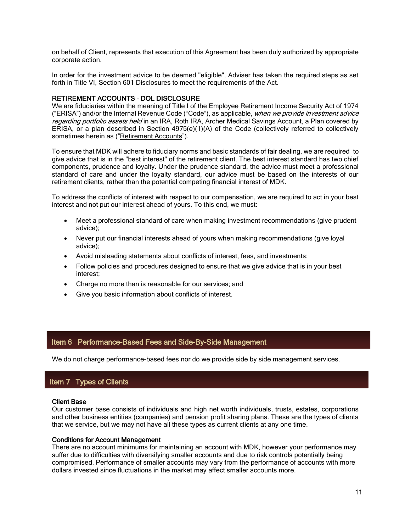<span id="page-10-0"></span>on behalf of Client, represents that execution of this Agreement has been duly authorized by appropriate corporate action.

In order for the investment advice to be deemed "eligible", Adviser has taken the required steps as set forth in Title VI, Section 601 Disclosures to meet the requirements of the Act.

## RETIREMENT ACCOUNTS – DOL DISCLOSURE

We are fiduciaries within the meaning of Title I of the Employee Retirement Income Security Act of 1974 ("ERISA") and/or the Internal Revenue Code ("Code"), as applicable, when we provide investment advice regarding portfolio assets held in an IRA, Roth IRA, Archer Medical Savings Account, a Plan covered by ERISA, or a plan described in Section 4975(e)(1)(A) of the Code (collectively referred to collectively sometimes herein as ("Retirement Accounts").

To ensure that MDK will adhere to fiduciary norms and basic standards of fair dealing, we are required to give advice that is in the "best interest" of the retirement client. The best interest standard has two chief components, prudence and loyalty. Under the prudence standard, the advice must meet a professional standard of care and under the loyalty standard, our advice must be based on the interests of our retirement clients, rather than the potential competing financial interest of MDK.

To address the conflicts of interest with respect to our compensation, we are required to act in your best interest and not put our interest ahead of yours. To this end, we must:

- Meet a professional standard of care when making investment recommendations (give prudent advice);
- Never put our financial interests ahead of yours when making recommendations (give loyal advice);
- Avoid misleading statements about conflicts of interest, fees, and investments;
- Follow policies and procedures designed to ensure that we give advice that is in your best interest;
- Charge no more than is reasonable for our services; and
- Give you basic information about conflicts of interest.

## Item 6 Performance-Based Fees and Side-By-Side Management

We do not charge performance-based fees nor do we provide side by side management services.

## Item 7 Types of Clients

#### Client Base

Our customer base consists of individuals and high net worth individuals, trusts, estates, corporations and other business entities (companies) and pension profit sharing plans. These are the types of clients that we service, but we may not have all these types as current clients at any one time.

#### Conditions for Account Management

There are no account minimums for maintaining an account with MDK, however your performance may suffer due to difficulties with diversifying smaller accounts and due to risk controls potentially being compromised. Performance of smaller accounts may vary from the performance of accounts with more dollars invested since fluctuations in the market may affect smaller accounts more.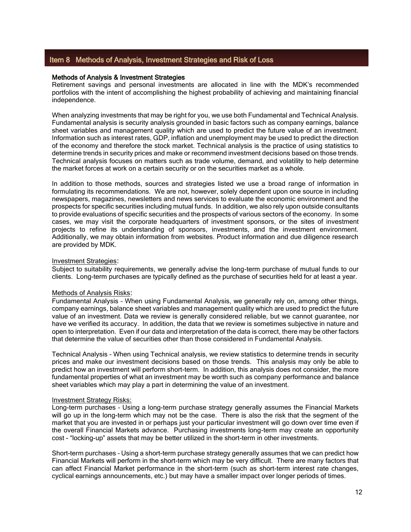# <span id="page-11-0"></span>Item 8 Methods of Analysis, Investment Strategies and Risk of Loss

#### Methods of Analysis & Investment Strategies

Retirement savings and personal investments are allocated in line with the MDK's recommended portfolios with the intent of accomplishing the highest probability of achieving and maintaining financial independence.

When analyzing investments that may be right for you, we use both Fundamental and Technical Analysis. Fundamental analysis is security analysis grounded in basic factors such as company earnings, balance sheet variables and management quality which are used to predict the future value of an investment. Information such as interest rates, GDP, inflation and unemployment may be used to predict the direction of the economy and therefore the stock market. Technical analysis is the practice of using statistics to determine trends in security prices and make or recommend investment decisions based on those trends. Technical analysis focuses on matters such as trade volume, demand, and volatility to help determine the market forces at work on a certain security or on the securities market as a whole.

In addition to those methods, sources and strategies listed we use a broad range of information in formulating its recommendations. We are not, however, solely dependent upon one source in including newspapers, magazines, newsletters and news services to evaluate the economic environment and the prospects for specific securities including mutual funds. In addition, we also rely upon outside consultants to provide evaluations of specific securities and the prospects of various sectors of the economy. In some cases, we may visit the corporate headquarters of investment sponsors, or the sites of investment projects to refine its understanding of sponsors, investments, and the investment environment. Additionally, we may obtain information from websites. Product information and due diligence research are provided by MDK.

#### Investment Strategies:

Subject to suitability requirements, we generally advise the long-term purchase of mutual funds to our clients. Long-term purchases are typically defined as the purchase of securities held for at least a year.

#### Methods of Analysis Risks:

Fundamental Analysis – When using Fundamental Analysis, we generally rely on, among other things, company earnings, balance sheet variables and management quality which are used to predict the future value of an investment. Data we review is generally considered reliable, but we cannot guarantee, nor have we verified its accuracy. In addition, the data that we review is sometimes subjective in nature and open to interpretation. Even if our data and interpretation of the data is correct, there may be other factors that determine the value of securities other than those considered in Fundamental Analysis.

Technical Analysis – When using Technical analysis, we review statistics to determine trends in security prices and make our investment decisions based on those trends. This analysis may only be able to predict how an investment will perform short-term. In addition, this analysis does not consider, the more fundamental properties of what an investment may be worth such as company performance and balance sheet variables which may play a part in determining the value of an investment.

#### Investment Strategy Risks:

Long-term purchases – Using a long-term purchase strategy generally assumes the Financial Markets will go up in the long-term which may not be the case. There is also the risk that the segment of the market that you are invested in or perhaps just your particular investment will go down over time even if the overall Financial Markets advance. Purchasing investments long-term may create an opportunity cost - "locking-up" assets that may be better utilized in the short-term in other investments.

Short-term purchases – Using a short-term purchase strategy generally assumes that we can predict how Financial Markets will perform in the short-term which may be very difficult. There are many factors that can affect Financial Market performance in the short-term (such as short-term interest rate changes, cyclical earnings announcements, etc.) but may have a smaller impact over longer periods of times.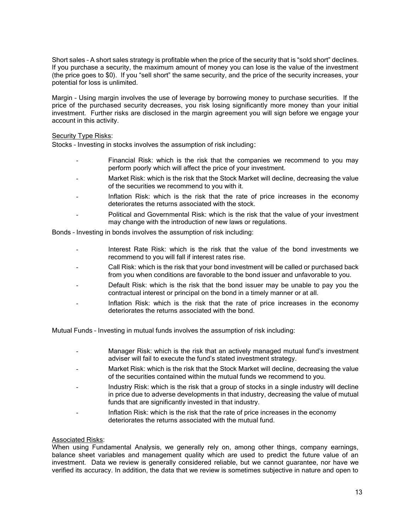Short sales – A short sales strategy is profitable when the price of the security that is "sold short" declines. If you purchase a security, the maximum amount of money you can lose is the value of the investment (the price goes to \$0). If you "sell short" the same security, and the price of the security increases, your potential for loss is unlimited.

Margin – Using margin involves the use of leverage by borrowing money to purchase securities. If the price of the purchased security decreases, you risk losing significantly more money than your initial investment. Further risks are disclosed in the margin agreement you will sign before we engage your account in this activity.

## **Security Type Risks:**

Stocks – Investing in stocks involves the assumption of risk including:

- Financial Risk: which is the risk that the companies we recommend to you may perform poorly which will affect the price of your investment.
- Market Risk: which is the risk that the Stock Market will decline, decreasing the value of the securities we recommend to you with it.
- Inflation Risk: which is the risk that the rate of price increases in the economy deteriorates the returns associated with the stock.
- Political and Governmental Risk: which is the risk that the value of your investment may change with the introduction of new laws or regulations.

Bonds – Investing in bonds involves the assumption of risk including:

- Interest Rate Risk: which is the risk that the value of the bond investments we recommend to you will fall if interest rates rise.
- Call Risk: which is the risk that your bond investment will be called or purchased back from you when conditions are favorable to the bond issuer and unfavorable to you.
- Default Risk: which is the risk that the bond issuer may be unable to pay you the contractual interest or principal on the bond in a timely manner or at all.
- Inflation Risk: which is the risk that the rate of price increases in the economy deteriorates the returns associated with the bond.

Mutual Funds – Investing in mutual funds involves the assumption of risk including:

- Manager Risk: which is the risk that an actively managed mutual fund's investment adviser will fail to execute the fund's stated investment strategy.
- Market Risk: which is the risk that the Stock Market will decline, decreasing the value of the securities contained within the mutual funds we recommend to you.
- Industry Risk: which is the risk that a group of stocks in a single industry will decline in price due to adverse developments in that industry, decreasing the value of mutual funds that are significantly invested in that industry.
- Inflation Risk: which is the risk that the rate of price increases in the economy deteriorates the returns associated with the mutual fund.

## Associated Risks:

When using Fundamental Analysis, we generally rely on, among other things, company earnings, balance sheet variables and management quality which are used to predict the future value of an investment. Data we review is generally considered reliable, but we cannot guarantee, nor have we verified its accuracy. In addition, the data that we review is sometimes subjective in nature and open to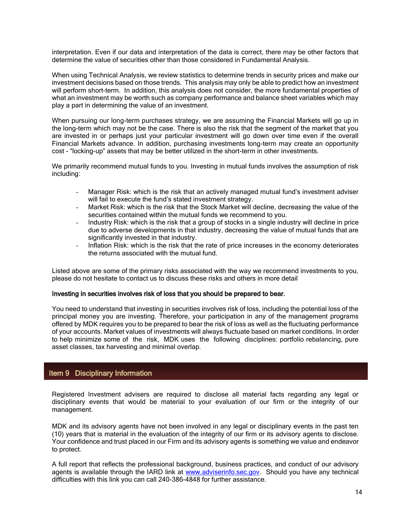<span id="page-13-0"></span>interpretation. Even if our data and interpretation of the data is correct, there may be other factors that determine the value of securities other than those considered in Fundamental Analysis.

When using Technical Analysis, we review statistics to determine trends in security prices and make our investment decisions based on those trends. This analysis may only be able to predict how an investment will perform short-term. In addition, this analysis does not consider, the more fundamental properties of what an investment may be worth such as company performance and balance sheet variables which may play a part in determining the value of an investment.

When pursuing our long-term purchases strategy, we are assuming the Financial Markets will go up in the long-term which may not be the case. There is also the risk that the segment of the market that you are invested in or perhaps just your particular investment will go down over time even if the overall Financial Markets advance. In addition, purchasing investments long-term may create an opportunity cost - "locking-up" assets that may be better utilized in the short-term in other investments.

We primarily recommend mutual funds to you. Investing in mutual funds involves the assumption of risk including:

- Manager Risk: which is the risk that an actively managed mutual fund's investment adviser will fail to execute the fund's stated investment strategy.
- Market Risk: which is the risk that the Stock Market will decline, decreasing the value of the securities contained within the mutual funds we recommend to you.
- Industry Risk: which is the risk that a group of stocks in a single industry will decline in price due to adverse developments in that industry, decreasing the value of mutual funds that are significantly invested in that industry.
- Inflation Risk: which is the risk that the rate of price increases in the economy deteriorates the returns associated with the mutual fund.

Listed above are some of the primary risks associated with the way we recommend investments to you, please do not hesitate to contact us to discuss these risks and others in more detail

## Investing in securities involves risk of loss that you should be prepared to bear.

You need to understand that investing in securities involves risk of loss, including the potential loss of the principal money you are investing. Therefore, your participation in any of the management programs offered by MDK requires you to be prepared to bear the risk of loss as well as the fluctuating performance of your accounts. Market values of investments will always fluctuate based on market conditions. In order to help minimize some of the risk, MDK uses the following disciplines: portfolio rebalancing, pure asset classes, tax harvesting and minimal overlap.

# Item 9 Disciplinary Information

Registered Investment advisers are required to disclose all material facts regarding any legal or disciplinary events that would be material to your evaluation of our firm or the integrity of our management.

MDK and its advisory agents have not been involved in any legal or disciplinary events in the past ten (10) years that is material in the evaluation of the integrity of our firm or its advisory agents to disclose. Your confidence and trust placed in our Firm and its advisory agents is something we value and endeavor to protect.

A full report that reflects the professional background, business practices, and conduct of our advisory agents is available through the IARD link at [www.adviserinfo.sec.gov.](http://www.adviserinfo.sec.gov/) Should you have any technical difficulties with this link you can call 240-386-4848 for further assistance.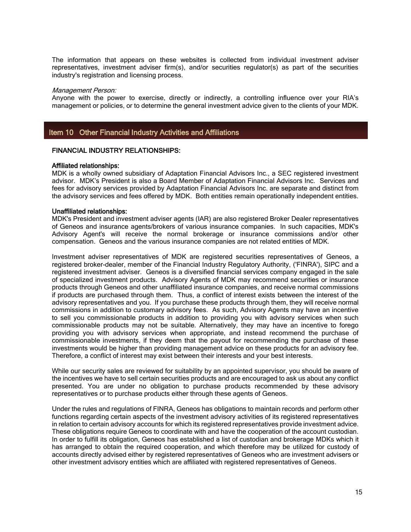<span id="page-14-0"></span>The information that appears on these websites is collected from individual investment adviser representatives, investment adviser firm(s), and/or securities regulator(s) as part of the securities industry's registration and licensing process.

#### Management Person:

Anyone with the power to exercise, directly or indirectly, a controlling influence over your RIA's management or policies, or to determine the general investment advice given to the clients of your MDK.

## Item 10 Other Financial Industry Activities and Affiliations

#### FINANCIAL INDUSTRY RELATIONSHIPS:

#### Affiliated relationships:

MDK is a wholly owned subsidiary of Adaptation Financial Advisors Inc., a SEC registered investment advisor. MDK's President is also a Board Member of Adaptation Financial Advisors Inc. Services and fees for advisory services provided by Adaptation Financial Advisors Inc. are separate and distinct from the advisory services and fees offered by MDK. Both entities remain operationally independent entities.

#### Unaffiliated relationships:

MDK's President and investment adviser agents (IAR) are also registered Broker Dealer representatives of Geneos and insurance agents/brokers of various insurance companies. In such capacities, MDK's Advisory Agent's will receive the normal brokerage or insurance commissions and/or other compensation. Geneos and the various insurance companies are not related entities of MDK.

Investment adviser representatives of MDK are registered securities representatives of Geneos, a registered broker-dealer, member of the Financial Industry Regulatory Authority, ('FINRA'), SIPC and a registered investment adviser. Geneos is a diversified financial services company engaged in the sale of specialized investment products. Advisory Agents of MDK may recommend securities or insurance products through Geneos and other unaffiliated insurance companies, and receive normal commissions if products are purchased through them. Thus, a conflict of interest exists between the interest of the advisory representatives and you. If you purchase these products through them, they will receive normal commissions in addition to customary advisory fees. As such, Advisory Agents may have an incentive to sell you commissionable products in addition to providing you with advisory services when such commissionable products may not be suitable. Alternatively, they may have an incentive to forego providing you with advisory services when appropriate, and instead recommend the purchase of commissionable investments, if they deem that the payout for recommending the purchase of these investments would be higher than providing management advice on these products for an advisory fee. Therefore, a conflict of interest may exist between their interests and your best interests.

While our security sales are reviewed for suitability by an appointed supervisor, you should be aware of the incentives we have to sell certain securities products and are encouraged to ask us about any conflict presented. You are under no obligation to purchase products recommended by these advisory representatives or to purchase products either through these agents of Geneos.

Under the rules and regulations of FINRA, Geneos has obligations to maintain records and perform other functions regarding certain aspects of the investment advisory activities of its registered representatives in relation to certain advisory accounts for which its registered representatives provide investment advice. These obligations require Geneos to coordinate with and have the cooperation of the account custodian. In order to fulfill its obligation, Geneos has established a list of custodian and brokerage MDKs which it has arranged to obtain the required cooperation, and which therefore may be utilized for custody of accounts directly advised either by registered representatives of Geneos who are investment advisers or other investment advisory entities which are affiliated with registered representatives of Geneos.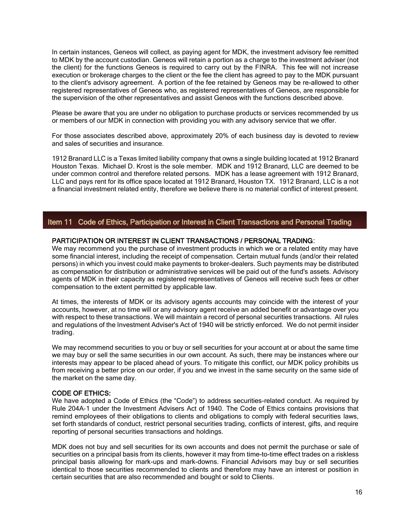<span id="page-15-0"></span>In certain instances, Geneos will collect, as paying agent for MDK, the investment advisory fee remitted to MDK by the account custodian. Geneos will retain a portion as a charge to the investment adviser (not the client) for the functions Geneos is required to carry out by the FINRA. This fee will not increase execution or brokerage charges to the client or the fee the client has agreed to pay to the MDK pursuant to the client's advisory agreement. A portion of the fee retained by Geneos may be re-allowed to other registered representatives of Geneos who, as registered representatives of Geneos, are responsible for the supervision of the other representatives and assist Geneos with the functions described above.

Please be aware that you are under no obligation to purchase products or services recommended by us or members of our MDK in connection with providing you with any advisory service that we offer.

For those associates described above, approximately 20% of each business day is devoted to review and sales of securities and insurance.

1912 Branard LLC is a Texas limited liability company that owns a single building located at 1912 Branard Houston Texas. Michael D. Krost is the sole member. MDK and 1912 Branard, LLC are deemed to be under common control and therefore related persons. MDK has a lease agreement with 1912 Branard, LLC and pays rent for its office space located at 1912 Branard, Houston TX. 1912 Branard, LLC is a not a financial investment related entity, therefore we believe there is no material conflict of interest present.

## Item 11 Code of Ethics, Participation or Interest in Client Transactions and Personal Trading

## PARTICIPATION OR INTEREST IN CLIENT TRANSACTIONS / PERSONAL TRADING:

We may recommend you the purchase of investment products in which we or a related entity may have some financial interest, including the receipt of compensation. Certain mutual funds (and/or their related persons) in which you invest could make payments to broker-dealers. Such payments may be distributed as compensation for distribution or administrative services will be paid out of the fund's assets. Advisory agents of MDK in their capacity as registered representatives of Geneos will receive such fees or other compensation to the extent permitted by applicable law.

At times, the interests of MDK or its advisory agents accounts may coincide with the interest of your accounts, however, at no time will or any advisory agent receive an added benefit or advantage over you with respect to these transactions. We will maintain a record of personal securities transactions. All rules and regulations of the Investment Adviser's Act of 1940 will be strictly enforced. We do not permit insider trading.

We may recommend securities to you or buy or sell securities for your account at or about the same time we may buy or sell the same securities in our own account. As such, there may be instances where our interests may appear to be placed ahead of yours. To mitigate this conflict, our MDK policy prohibits us from receiving a better price on our order, if you and we invest in the same security on the same side of the market on the same day.

#### CODE OF ETHICS:

We have adopted a Code of Ethics (the "Code") to address securities-related conduct. As required by Rule 204A‐1 under the Investment Advisers Act of 1940. The Code of Ethics contains provisions that remind employees of their obligations to clients and obligations to comply with federal securities laws, set forth standards of conduct, restrict personal securities trading, conflicts of interest, gifts, and require reporting of personal securities transactions and holdings.

MDK does not buy and sell securities for its own accounts and does not permit the purchase or sale of securities on a principal basis from its clients, however it may from time-to-time effect trades on a riskless principal basis allowing for mark-ups and mark-downs. Financial Advisors may buy or sell securities identical to those securities recommended to clients and therefore may have an interest or position in certain securities that are also recommended and bought or sold to Clients.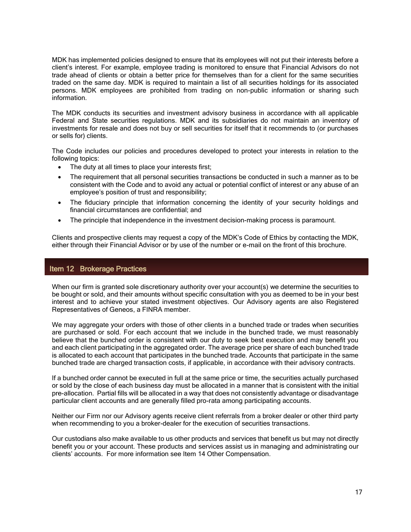<span id="page-16-0"></span>MDK has implemented policies designed to ensure that its employees will not put their interests before a client's interest. For example, employee trading is monitored to ensure that Financial Advisors do not trade ahead of clients or obtain a better price for themselves than for a client for the same securities traded on the same day. MDK is required to maintain a list of all securities holdings for its associated persons. MDK employees are prohibited from trading on non-public information or sharing such information.

The MDK conducts its securities and investment advisory business in accordance with all applicable Federal and State securities regulations. MDK and its subsidiaries do not maintain an inventory of investments for resale and does not buy or sell securities for itself that it recommends to (or purchases or sells for) clients.

The Code includes our policies and procedures developed to protect your interests in relation to the following topics:

- The duty at all times to place your interests first;
- The requirement that all personal securities transactions be conducted in such a manner as to be consistent with the Code and to avoid any actual or potential conflict of interest or any abuse of an employee's position of trust and responsibility;
- The fiduciary principle that information concerning the identity of your security holdings and financial circumstances are confidential; and
- The principle that independence in the investment decision-making process is paramount.

Clients and prospective clients may request a copy of the MDK's Code of Ethics by contacting the MDK, either through their Financial Advisor or by use of the number or e-mail on the front of this brochure.

## Item 12 Brokerage Practices

When our firm is granted sole discretionary authority over your account(s) we determine the securities to be bought or sold, and their amounts without specific consultation with you as deemed to be in your best interest and to achieve your stated investment objectives. Our Advisory agents are also Registered Representatives of Geneos, a FINRA member.

We may aggregate your orders with those of other clients in a bunched trade or trades when securities are purchased or sold. For each account that we include in the bunched trade, we must reasonably believe that the bunched order is consistent with our duty to seek best execution and may benefit you and each client participating in the aggregated order. The average price per share of each bunched trade is allocated to each account that participates in the bunched trade. Accounts that participate in the same bunched trade are charged transaction costs, if applicable, in accordance with their advisory contracts.

If a bunched order cannot be executed in full at the same price or time, the securities actually purchased or sold by the close of each business day must be allocated in a manner that is consistent with the initial pre-allocation. Partial fills will be allocated in a way that does not consistently advantage or disadvantage particular client accounts and are generally filled pro-rata among participating accounts.

Neither our Firm nor our Advisory agents receive client referrals from a broker dealer or other third party when recommending to you a broker-dealer for the execution of securities transactions.

Our custodians also make available to us other products and services that benefit us but may not directly benefit you or your account. These products and services assist us in managing and administrating our clients' accounts. For more information see Item 14 Other Compensation.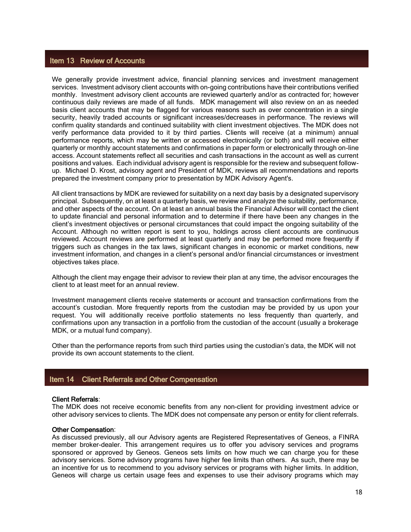## <span id="page-17-0"></span>Item 13 Review of Accounts

We generally provide investment advice, financial planning services and investment management services. Investment advisory client accounts with on-going contributions have their contributions verified monthly. Investment advisory client accounts are reviewed quarterly and/or as contracted for; however continuous daily reviews are made of all funds. MDK management will also review on an as needed basis client accounts that may be flagged for various reasons such as over concentration in a single security, heavily traded accounts or significant increases/decreases in performance. The reviews will confirm quality standards and continued suitability with client investment objectives. The MDK does not verify performance data provided to it by third parties. Clients will receive (at a minimum) annual performance reports, which may be written or accessed electronically (or both) and will receive either quarterly or monthly account statements and confirmations in paper form or electronically through on-line access. Account statements reflect all securities and cash transactions in the account as well as current positions and values. Each individual advisory agent is responsible for the review and subsequent followup. Michael D. Krost, advisory agent and President of MDK, reviews all recommendations and reports prepared the investment company prior to presentation by MDK Advisory Agent's.

All client transactions by MDK are reviewed for suitability on a next day basis by a designated supervisory principal. Subsequently, on at least a quarterly basis, we review and analyze the suitability, performance, and other aspects of the account. On at least an annual basis the Financial Advisor will contact the client to update financial and personal information and to determine if there have been any changes in the client's investment objectives or personal circumstances that could impact the ongoing suitability of the Account. Although no written report is sent to you, holdings across client accounts are continuous reviewed. Account reviews are performed at least quarterly and may be performed more frequently if triggers such as changes in the tax laws, significant changes in economic or market conditions, new investment information, and changes in a client's personal and/or financial circumstances or investment objectives takes place.

Although the client may engage their advisor to review their plan at any time, the advisor encourages the client to at least meet for an annual review.

Investment management clients receive statements or account and transaction confirmations from the account's custodian. More frequently reports from the custodian may be provided by us upon your request. You will additionally receive portfolio statements no less frequently than quarterly, and confirmations upon any transaction in a portfolio from the custodian of the account (usually a brokerage MDK, or a mutual fund company).

Other than the performance reports from such third parties using the custodian's data, the MDK will not provide its own account statements to the client.

## Item 14 Client Referrals and Other Compensation

#### Client Referrals:

The MDK does not receive economic benefits from any non-client for providing investment advice or other advisory services to clients. The MDK does not compensate any person or entity for client referrals.

#### Other Compensation:

As discussed previously, all our Advisory agents are Registered Representatives of Geneos, a FINRA member broker-dealer. This arrangement requires us to offer you advisory services and programs sponsored or approved by Geneos. Geneos sets limits on how much we can charge you for these advisory services. Some advisory programs have higher fee limits than others. As such, there may be an incentive for us to recommend to you advisory services or programs with higher limits. In addition, Geneos will charge us certain usage fees and expenses to use their advisory programs which may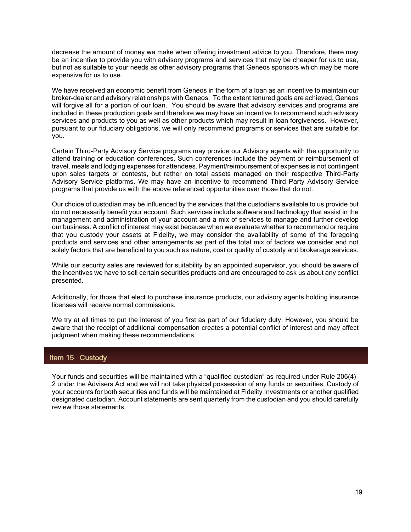<span id="page-18-0"></span>decrease the amount of money we make when offering investment advice to you. Therefore, there may be an incentive to provide you with advisory programs and services that may be cheaper for us to use, but not as suitable to your needs as other advisory programs that Geneos sponsors which may be more expensive for us to use.

We have received an economic benefit from Geneos in the form of a loan as an incentive to maintain our broker-dealer and advisory relationships with Geneos. To the extent tenured goals are achieved, Geneos will forgive all for a portion of our loan. You should be aware that advisory services and programs are included in these production goals and therefore we may have an incentive to recommend such advisory services and products to you as well as other products which may result in loan forgiveness. However, pursuant to our fiduciary obligations, we will only recommend programs or services that are suitable for you.

Certain Third-Party Advisory Service programs may provide our Advisory agents with the opportunity to attend training or education conferences. Such conferences include the payment or reimbursement of travel, meals and lodging expenses for attendees. Payment/reimbursement of expenses is not contingent upon sales targets or contests, but rather on total assets managed on their respective Third-Party Advisory Service platforms. We may have an incentive to recommend Third Party Advisory Service programs that provide us with the above referenced opportunities over those that do not.

Our choice of custodian may be influenced by the services that the custodians available to us provide but do not necessarily benefit your account. Such services include software and technology that assist in the management and administration of your account and a mix of services to manage and further develop our business. A conflict of interest may exist because when we evaluate whether to recommend or require that you custody your assets at Fidelity, we may consider the availability of some of the foregoing products and services and other arrangements as part of the total mix of factors we consider and not solely factors that are beneficial to you such as nature, cost or quality of custody and brokerage services.

While our security sales are reviewed for suitability by an appointed supervisor, you should be aware of the incentives we have to sell certain securities products and are encouraged to ask us about any conflict presented.

Additionally, for those that elect to purchase insurance products, our advisory agents holding insurance licenses will receive normal commissions.

We try at all times to put the interest of you first as part of our fiduciary duty. However, you should be aware that the receipt of additional compensation creates a potential conflict of interest and may affect judgment when making these recommendations.

# Item 15 Custody

Your funds and securities will be maintained with a "qualified custodian" as required under Rule 206(4)-2 under the Advisers Act and we will not take physical possession of any funds or securities. Custody of your accounts for both securities and funds will be maintained at Fidelity Investments or another qualified designated custodian. Account statements are sent quarterly from the custodian and you should carefully review those statements.